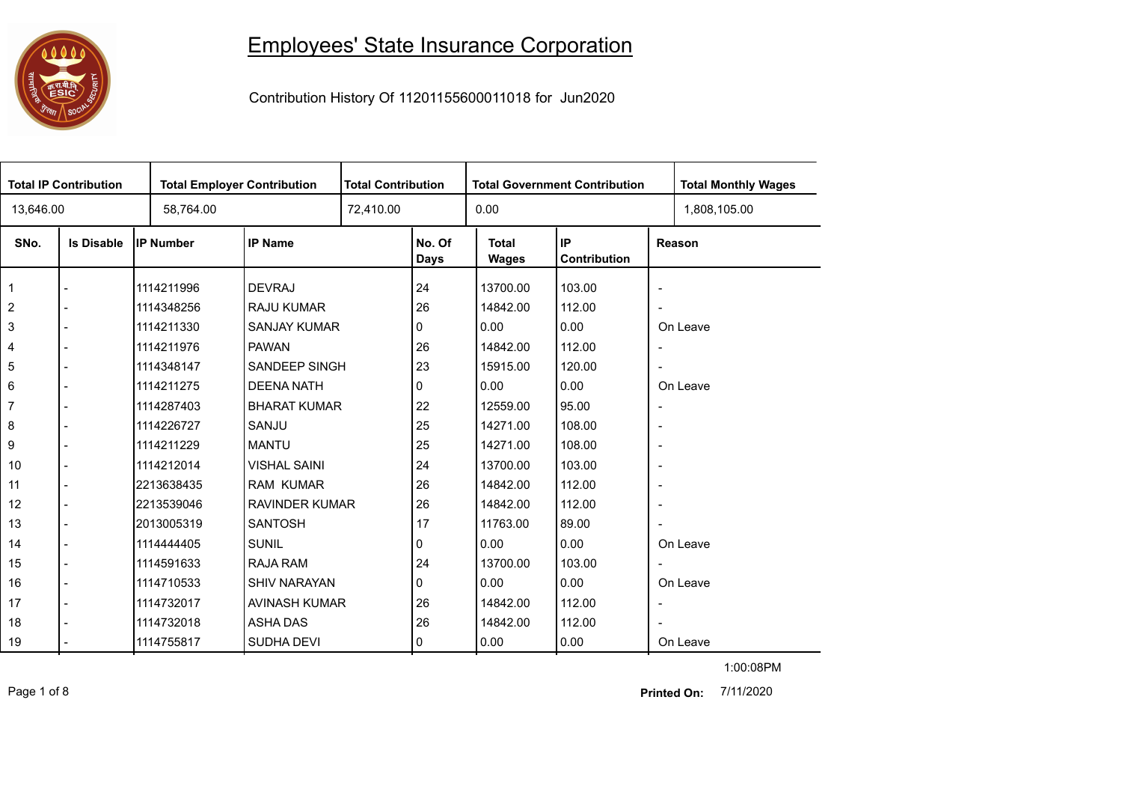## Employees' State Insurance Corporation



Contribution History Of 11201155600011018 for Jun2020

| <b>Total IP Contribution</b> |                   |             | <b>Total Employer Contribution</b> |  | <b>Total Contribution</b><br><b>Total Government Contribution</b> |                       |                    |                          | <b>Total Monthly Wages</b> |
|------------------------------|-------------------|-------------|------------------------------------|--|-------------------------------------------------------------------|-----------------------|--------------------|--------------------------|----------------------------|
| 13,646.00                    |                   | 58,764.00   |                                    |  |                                                                   | 0.00                  |                    |                          | 1,808,105.00               |
| SNo.                         | <b>Is Disable</b> | IP Number   | <b>IP Name</b>                     |  | No. Of<br>Days                                                    | <b>Total</b><br>Wages | IP<br>Contribution |                          | Reason                     |
| $\mathbf 1$                  |                   | 1114211996  | <b>DEVRAJ</b>                      |  | 24                                                                | 13700.00              | 103.00             | $\blacksquare$           |                            |
| $\overline{2}$               |                   | 1114348256  | <b>RAJU KUMAR</b>                  |  | 26                                                                | 14842.00              | 112.00             | $\blacksquare$           |                            |
| $\mathbf{3}$                 |                   | 11114211330 | <b>SANJAY KUMAR</b>                |  | 0                                                                 | 0.00                  | 0.00               |                          | On Leave                   |
| $\overline{\mathbf{4}}$      |                   | 1114211976  | <b>PAWAN</b>                       |  | 26                                                                | 14842.00              | 112.00             | $\overline{\phantom{a}}$ |                            |
| $\,$ 5 $\,$                  |                   | 1114348147  | SANDEEP SINGH                      |  | 23                                                                | 15915.00              | 120.00             | $\overline{\phantom{a}}$ |                            |
| 6                            |                   | 1114211275  | <b>DEENA NATH</b>                  |  | 0                                                                 | 0.00                  | 0.00               |                          | On Leave                   |
| $\overline{7}$               |                   | 1114287403  | <b>BHARAT KUMAR</b>                |  | 22                                                                | 12559.00              | 95.00              | $\overline{\phantom{a}}$ |                            |
| 8                            |                   | 1114226727  | SANJU                              |  | 25                                                                | 14271.00              | 108.00             | $\overline{\phantom{a}}$ |                            |
| $\boldsymbol{9}$             |                   | 1114211229  | <b>MANTU</b>                       |  | 25                                                                | 14271.00              | 108.00             | $\overline{\phantom{a}}$ |                            |
| 10                           |                   | 1114212014  | <b>VISHAL SAINI</b>                |  | 24                                                                | 13700.00              | 103.00             | $\overline{\phantom{a}}$ |                            |
| 11                           |                   | 2213638435  | <b>RAM KUMAR</b>                   |  | 26                                                                | 14842.00              | 112.00             | $\overline{\phantom{a}}$ |                            |
| 12                           |                   | l2213539046 | <b>RAVINDER KUMAR</b>              |  | 26                                                                | 14842.00              | 112.00             | $\overline{\phantom{a}}$ |                            |
| 13                           |                   | 2013005319  | <b>SANTOSH</b>                     |  | 17                                                                | 11763.00              | 89.00              | $\overline{\phantom{a}}$ |                            |
| 14                           |                   | 1114444405  | <b>SUNIL</b>                       |  | 0                                                                 | 0.00                  | 0.00               |                          | On Leave                   |
| 15                           |                   | 1114591633  | RAJA RAM                           |  | 24                                                                | 13700.00              | 103.00             | $\overline{\phantom{a}}$ |                            |
| 16                           |                   | 1114710533  | <b>SHIV NARAYAN</b>                |  | 0                                                                 | 0.00                  | 0.00               |                          | On Leave                   |
| 17                           |                   | 1114732017  | AVINASH KUMAR                      |  | 26                                                                | 14842.00              | 112.00             | $\overline{\phantom{a}}$ |                            |
| 18                           |                   | 1114732018  | <b>ASHA DAS</b>                    |  | 26                                                                | 14842.00              | 112.00             | $\overline{\phantom{a}}$ |                            |
| 19                           |                   | 1114755817  | <b>SUDHA DEVI</b>                  |  | 0                                                                 | 0.00                  | 0.00               |                          | On Leave                   |

Page 1 of 8 7/11/2020 **Printed On:**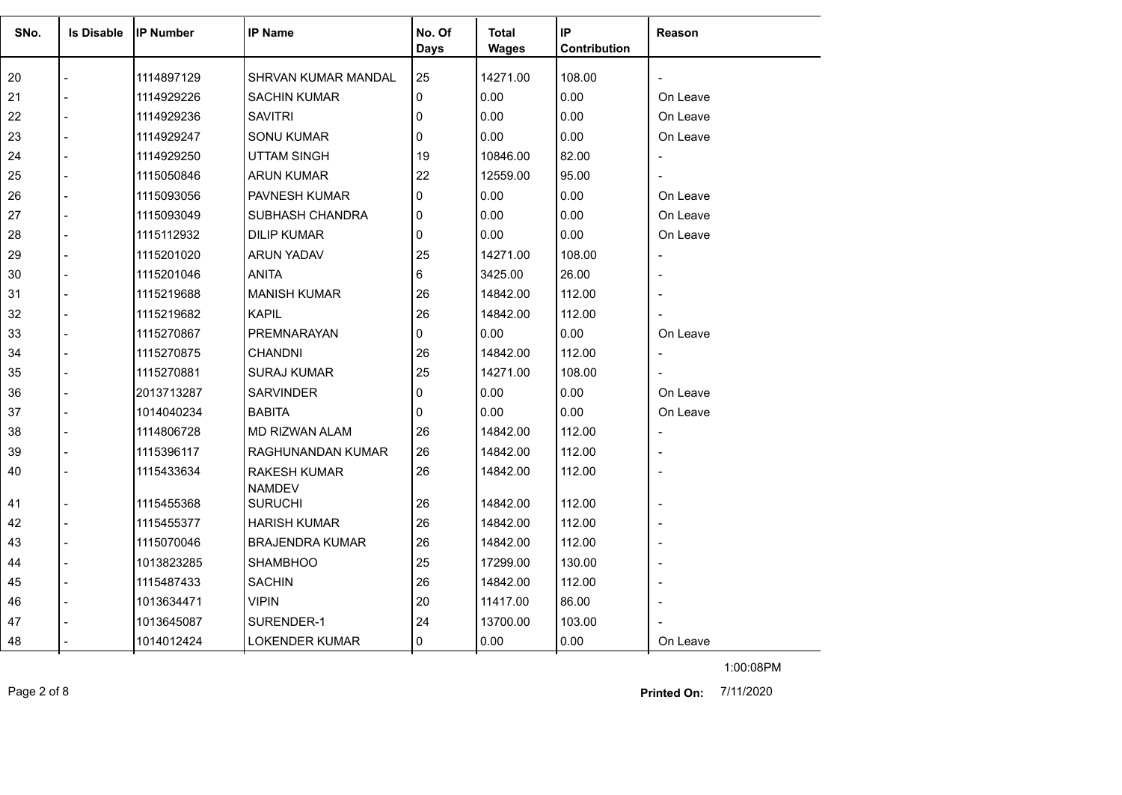| SNo. | <b>Is Disable</b> | lIP Number | <b>IP Name</b>             | No. Of<br><b>Days</b> | Total<br><b>Wages</b> | IP<br>Contribution | Reason         |
|------|-------------------|------------|----------------------------|-----------------------|-----------------------|--------------------|----------------|
|      |                   |            |                            |                       |                       |                    |                |
| 20   |                   | 1114897129 | <b>SHRVAN KUMAR MANDAL</b> | 25                    | 14271.00              | 108.00             |                |
| 21   |                   | 1114929226 | <b>SACHIN KUMAR</b>        | 0                     | 0.00                  | 0.00               | On Leave       |
| 22   |                   | 1114929236 | <b>SAVITRI</b>             | 0                     | 0.00                  | 0.00               | On Leave       |
| 23   |                   | 1114929247 | <b>SONU KUMAR</b>          | 0                     | 0.00                  | 0.00               | On Leave       |
| 24   |                   | 1114929250 | <b>UTTAM SINGH</b>         | 19                    | 10846.00              | 82.00              |                |
| 25   |                   | 1115050846 | <b>ARUN KUMAR</b>          | 22                    | 12559.00              | 95.00              |                |
| 26   |                   | 1115093056 | <b>PAVNESH KUMAR</b>       | 0                     | 0.00                  | 0.00               | On Leave       |
| 27   |                   | 1115093049 | SUBHASH CHANDRA            | 0                     | 0.00                  | 0.00               | On Leave       |
| 28   |                   | 1115112932 | <b>DILIP KUMAR</b>         | $\Omega$              | 0.00                  | 0.00               | On Leave       |
| 29   |                   | 1115201020 | <b>ARUN YADAV</b>          | 25                    | 14271.00              | 108.00             |                |
| 30   |                   | 1115201046 | <b>ANITA</b>               | 6                     | 3425.00               | 26.00              |                |
| 31   |                   | 1115219688 | <b>MANISH KUMAR</b>        | 26                    | 14842.00              | 112.00             |                |
| 32   |                   | 1115219682 | <b>KAPIL</b>               | 26                    | 14842.00              | 112.00             |                |
| 33   |                   | 1115270867 | PREMNARAYAN                | 0                     | 0.00                  | 0.00               | On Leave       |
| 34   |                   | 1115270875 | <b>CHANDNI</b>             | 26                    | 14842.00              | 112.00             | $\overline{a}$ |
| 35   |                   | 1115270881 | <b>SURAJ KUMAR</b>         | 25                    | 14271.00              | 108.00             |                |
| 36   |                   | 2013713287 | <b>SARVINDER</b>           | $\Omega$              | 0.00                  | 0.00               | On Leave       |
| 37   |                   | 1014040234 | <b>BABITA</b>              | 0                     | 0.00                  | 0.00               | On Leave       |
| 38   |                   | 1114806728 | MD RIZWAN ALAM             | 26                    | 14842.00              | 112.00             |                |
| 39   |                   | 1115396117 | RAGHUNANDAN KUMAR          | 26                    | 14842.00              | 112.00             |                |
| 40   |                   | 1115433634 | <b>RAKESH KUMAR</b>        | 26                    | 14842.00              | 112.00             |                |
|      |                   |            | <b>NAMDEV</b>              |                       |                       |                    |                |
| 41   |                   | 1115455368 | <b>SURUCHI</b>             | 26                    | 14842.00              | 112.00             |                |
| 42   |                   | 1115455377 | <b>HARISH KUMAR</b>        | 26                    | 14842.00              | 112.00             |                |
| 43   |                   | 1115070046 | <b>BRAJENDRA KUMAR</b>     | 26                    | 14842.00              | 112.00             |                |
| 44   |                   | 1013823285 | <b>SHAMBHOO</b>            | 25                    | 17299.00              | 130.00             |                |
| 45   |                   | 1115487433 | <b>SACHIN</b>              | 26                    | 14842.00              | 112.00             |                |
| 46   |                   | 1013634471 | <b>VIPIN</b>               | 20                    | 11417.00              | 86.00              |                |
| 47   |                   | 1013645087 | SURENDER-1                 | 24                    | 13700.00              | 103.00             |                |
| 48   |                   | 1014012424 | <b>LOKENDER KUMAR</b>      | 0                     | 0.00                  | 0.00               | On Leave       |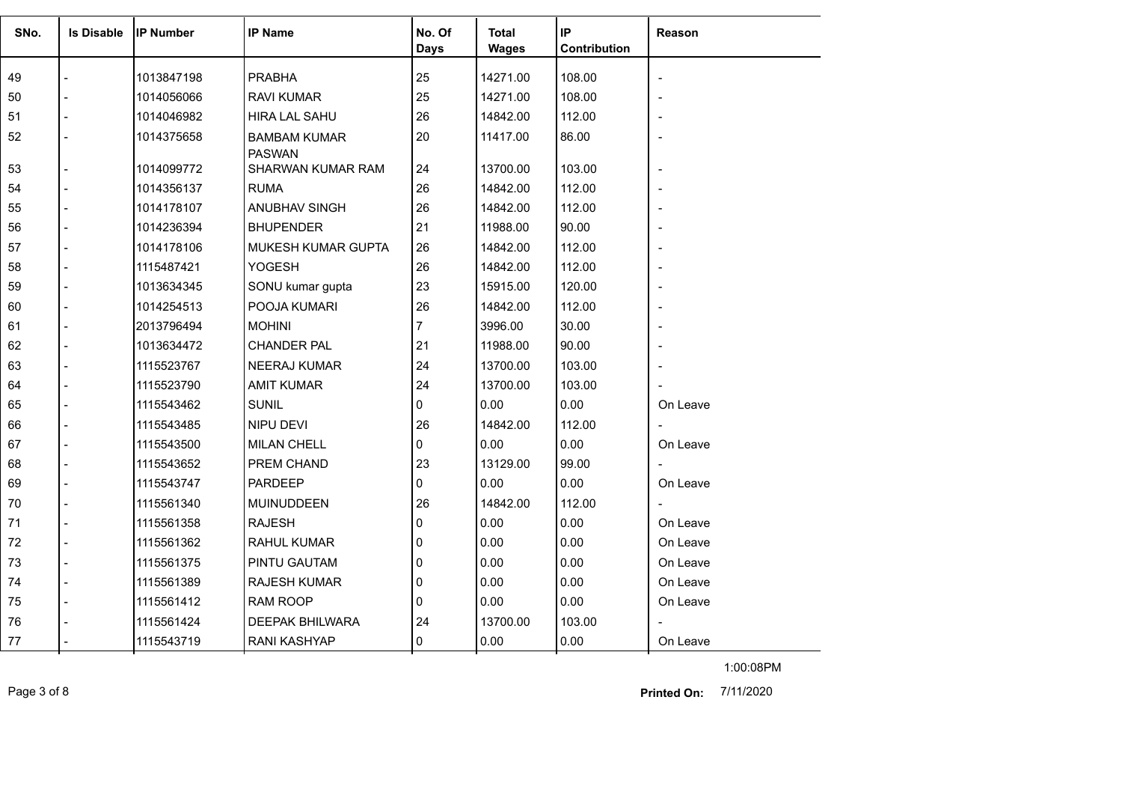| SNo. | <b>Is Disable</b> | <b>IIP Number</b> | <b>IP Name</b>                     | No. Of      | <b>Total</b> | IP                  | Reason   |
|------|-------------------|-------------------|------------------------------------|-------------|--------------|---------------------|----------|
|      |                   |                   |                                    | <b>Days</b> | <b>Wages</b> | <b>Contribution</b> |          |
| 49   |                   | 1013847198        | <b>PRABHA</b>                      | 25          | 14271.00     | 108.00              |          |
| 50   |                   | 1014056066        | RAVI KUMAR                         | 25          | 14271.00     | 108.00              |          |
| 51   |                   | 1014046982        | <b>HIRA LAL SAHU</b>               | 26          | 14842.00     | 112.00              |          |
| 52   |                   | 1014375658        | <b>BAMBAM KUMAR</b>                | 20          | 11417.00     | 86.00               |          |
| 53   |                   | 1014099772        | <b>PASWAN</b><br>SHARWAN KUMAR RAM | 24          | 13700.00     | 103.00              |          |
| 54   |                   | 1014356137        | <b>RUMA</b>                        | 26          | 14842.00     | 112.00              |          |
| 55   | $\blacksquare$    | 1014178107        | ANUBHAV SINGH                      | 26          | 14842.00     | 112.00              |          |
| 56   |                   | 1014236394        | <b>BHUPENDER</b>                   | 21          | 11988.00     | 90.00               |          |
| 57   |                   | 1014178106        | MUKESH KUMAR GUPTA                 | 26          | 14842.00     | 112.00              |          |
| 58   |                   | 1115487421        | YOGESH                             | 26          | 14842.00     | 112.00              |          |
| 59   |                   | 1013634345        | SONU kumar gupta                   | 23          | 15915.00     | 120.00              |          |
| 60   |                   | 1014254513        | POOJA KUMARI                       | 26          | 14842.00     | 112.00              |          |
| 61   |                   | 2013796494        | <b>MOHINI</b>                      | 7           | 3996.00      | 30.00               |          |
| 62   |                   | 1013634472        | <b>CHANDER PAL</b>                 | 21          | 11988.00     | 90.00               |          |
| 63   |                   | 1115523767        | <b>NEERAJ KUMAR</b>                | 24          | 13700.00     | 103.00              |          |
| 64   |                   | 1115523790        | <b>AMIT KUMAR</b>                  | 24          | 13700.00     | 103.00              |          |
| 65   |                   | 1115543462        | <b>SUNIL</b>                       | 0           | 0.00         | 0.00                | On Leave |
| 66   |                   | 1115543485        | NIPU DEVI                          | 26          | 14842.00     | 112.00              |          |
| 67   |                   | 1115543500        | <b>MILAN CHELL</b>                 | 0           | 0.00         | 0.00                | On Leave |
| 68   |                   | 1115543652        | PREM CHAND                         | 23          | 13129.00     | 99.00               |          |
| 69   |                   | 1115543747        | <b>PARDEEP</b>                     | 0           | 0.00         | 0.00                | On Leave |
| 70   |                   | 1115561340        | <b>MUINUDDEEN</b>                  | 26          | 14842.00     | 112.00              |          |
| 71   |                   | 1115561358        | <b>RAJESH</b>                      | 0           | 0.00         | 0.00                | On Leave |
| 72   |                   | 1115561362        | <b>RAHUL KUMAR</b>                 | 0           | 0.00         | 0.00                | On Leave |
| 73   | $\blacksquare$    | 1115561375        | PINTU GAUTAM                       | 0           | 0.00         | 0.00                | On Leave |
| 74   |                   | 1115561389        | <b>RAJESH KUMAR</b>                | 0           | 0.00         | 0.00                | On Leave |
| 75   |                   | 1115561412        | <b>RAM ROOP</b>                    | 0           | 0.00         | 0.00                | On Leave |
| 76   |                   | 1115561424        | <b>DEEPAK BHILWARA</b>             | 24          | 13700.00     | 103.00              |          |
| 77   |                   | 1115543719        | <b>RANI KASHYAP</b>                | 0           | 0.00         | 0.00                | On Leave |

Page 3 of 8 7/11/2020 **Printed On:**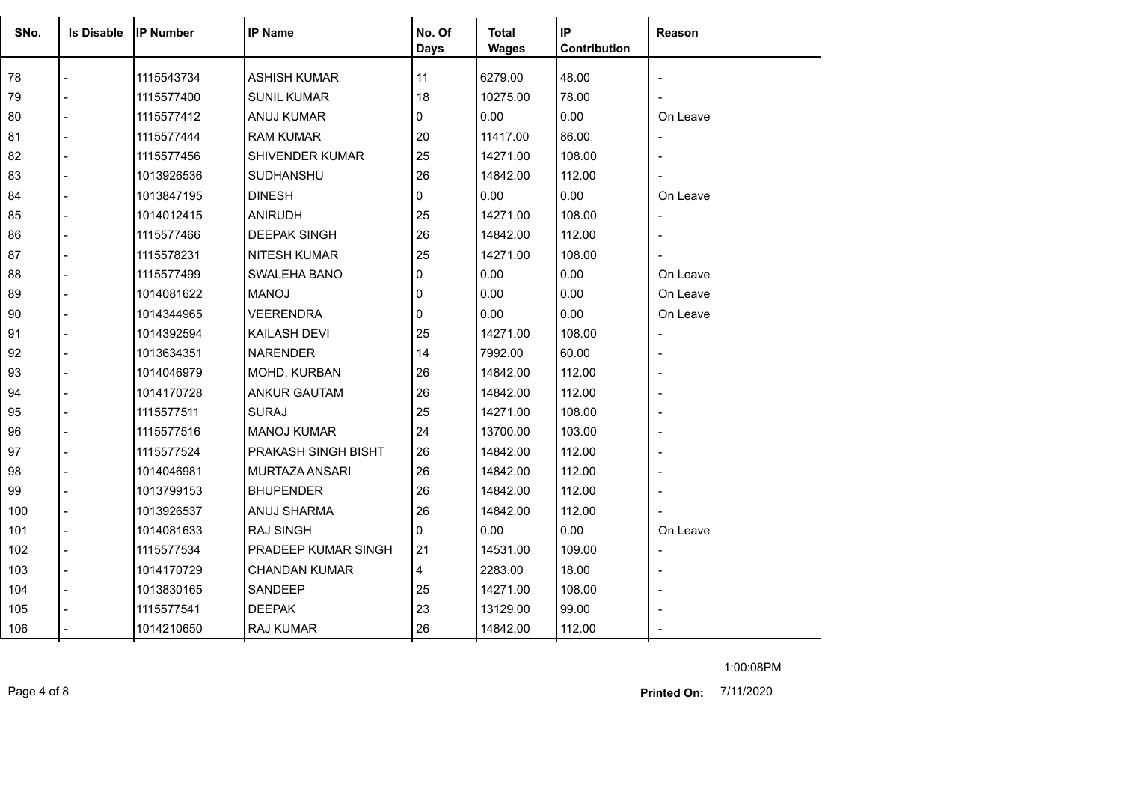| SNo. | <b>Is Disable</b> | <b>IP Number</b> | <b>IP Name</b>       | No. Of<br><b>Days</b> | Total<br><b>Wages</b> | IP<br>Contribution | Reason                   |
|------|-------------------|------------------|----------------------|-----------------------|-----------------------|--------------------|--------------------------|
| 78   |                   | 1115543734       | <b>ASHISH KUMAR</b>  | 11                    | 6279.00               | 48.00              |                          |
| 79   | $\overline{a}$    | 1115577400       | <b>SUNIL KUMAR</b>   | 18                    | 10275.00              | 78.00              |                          |
| 80   | $\overline{a}$    | 1115577412       | <b>ANUJ KUMAR</b>    | 0                     | 0.00                  | 0.00               | On Leave                 |
| 81   |                   | 1115577444       | RAM KUMAR            | 20                    | 11417.00              | 86.00              |                          |
| 82   |                   | 1115577456       | SHIVENDER KUMAR      | 25                    | 14271.00              | 108.00             |                          |
| 83   | $\overline{a}$    | 1013926536       | SUDHANSHU            | 26                    | 14842.00              | 112.00             |                          |
| 84   |                   | 1013847195       | <b>DINESH</b>        | 0                     | 0.00                  | 0.00               | On Leave                 |
| 85   |                   | 1014012415       | <b>ANIRUDH</b>       | 25                    | 14271.00              | 108.00             |                          |
| 86   |                   | 1115577466       | <b>DEEPAK SINGH</b>  | 26                    | 14842.00              | 112.00             |                          |
| 87   |                   | 1115578231       | <b>NITESH KUMAR</b>  | 25                    | 14271.00              | 108.00             |                          |
| 88   |                   | 1115577499       | SWALEHA BANO         | 0                     | 0.00                  | 0.00               | On Leave                 |
| 89   |                   | 1014081622       | <b>MANOJ</b>         | 0                     | 0.00                  | 0.00               | On Leave                 |
| 90   |                   | 1014344965       | <b>VEERENDRA</b>     | 0                     | 0.00                  | 0.00               | On Leave                 |
| 91   |                   | 1014392594       | <b>KAILASH DEVI</b>  | 25                    | 14271.00              | 108.00             | $\overline{\phantom{a}}$ |
| 92   |                   | 1013634351       | <b>NARENDER</b>      | 14                    | 7992.00               | 60.00              |                          |
| 93   |                   | 1014046979       | MOHD. KURBAN         | 26                    | 14842.00              | 112.00             |                          |
| 94   |                   | 1014170728       | <b>ANKUR GAUTAM</b>  | 26                    | 14842.00              | 112.00             |                          |
| 95   |                   | 1115577511       | <b>SURAJ</b>         | 25                    | 14271.00              | 108.00             |                          |
| 96   | $\overline{a}$    | 1115577516       | <b>MANOJ KUMAR</b>   | 24                    | 13700.00              | 103.00             |                          |
| 97   |                   | 1115577524       | PRAKASH SINGH BISHT  | 26                    | 14842.00              | 112.00             |                          |
| 98   |                   | 1014046981       | MURTAZA ANSARI       | 26                    | 14842.00              | 112.00             |                          |
| 99   |                   | 1013799153       | <b>BHUPENDER</b>     | 26                    | 14842.00              | 112.00             |                          |
| 100  |                   | 1013926537       | ANUJ SHARMA          | 26                    | 14842.00              | 112.00             |                          |
| 101  |                   | 1014081633       | <b>RAJ SINGH</b>     | $\Omega$              | 0.00                  | 0.00               | On Leave                 |
| 102  | $\blacksquare$    | 1115577534       | PRADEEP KUMAR SINGH  | 21                    | 14531.00              | 109.00             |                          |
| 103  | $\blacksquare$    | 1014170729       | <b>CHANDAN KUMAR</b> | 4                     | 2283.00               | 18.00              | $\blacksquare$           |
| 104  |                   | 1013830165       | SANDEEP              | 25                    | 14271.00              | 108.00             |                          |
| 105  |                   | 1115577541       | <b>DEEPAK</b>        | 23                    | 13129.00              | 99.00              |                          |
| 106  |                   | 1014210650       | RAJ KUMAR            | 26                    | 14842.00              | 112.00             |                          |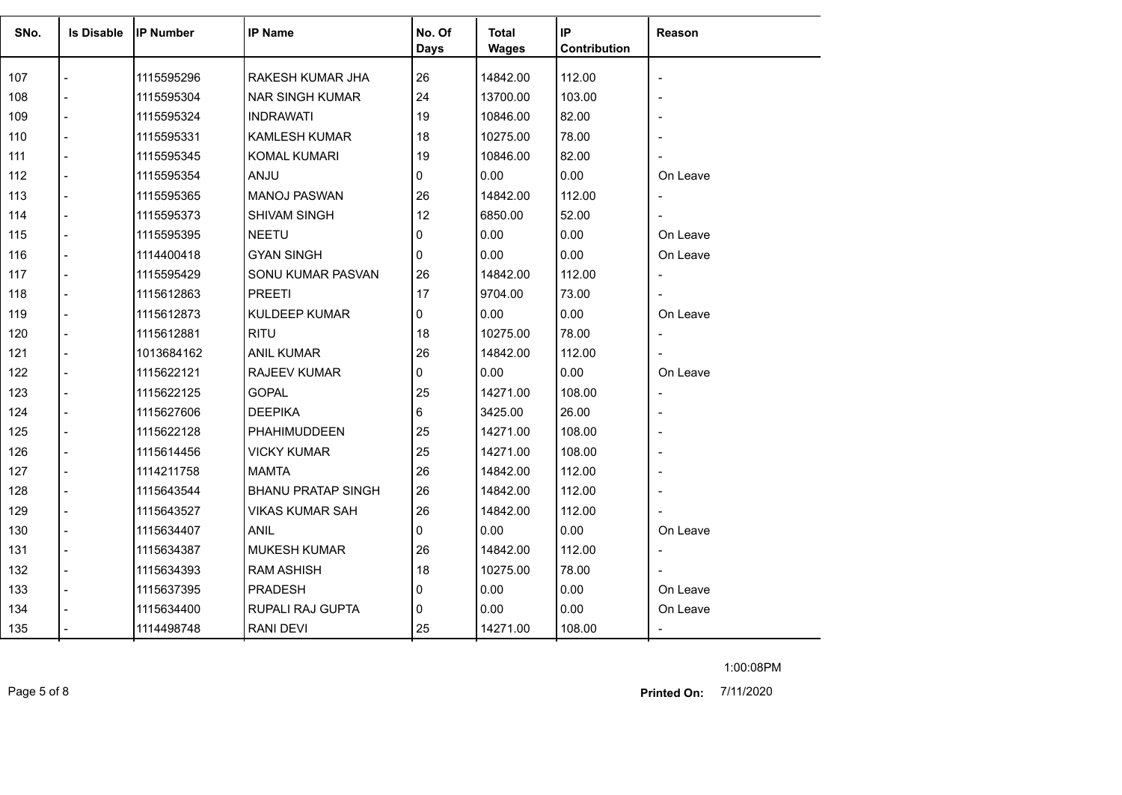| SNo. | <b>Is Disable</b> | <b>IP Number</b> | <b>IP Name</b>            | No. Of      | <b>Total</b> | IP           | Reason                   |
|------|-------------------|------------------|---------------------------|-------------|--------------|--------------|--------------------------|
|      |                   |                  |                           | <b>Days</b> | <b>Wages</b> | Contribution |                          |
| 107  |                   | 1115595296       | RAKESH KUMAR JHA          | 26          | 14842.00     | 112.00       |                          |
| 108  |                   | 1115595304       | <b>NAR SINGH KUMAR</b>    | 24          | 13700.00     | 103.00       |                          |
| 109  |                   | 1115595324       | <b>INDRAWATI</b>          | 19          | 10846.00     | 82.00        |                          |
| 110  |                   | 1115595331       | KAMLESH KUMAR             | 18          | 10275.00     | 78.00        |                          |
| 111  |                   | 1115595345       | <b>KOMAL KUMARI</b>       | 19          | 10846.00     | 82.00        |                          |
| 112  |                   | 1115595354       | <b>ANJU</b>               | 0           | 0.00         | 0.00         | On Leave                 |
| 113  |                   | 1115595365       | <b>MANOJ PASWAN</b>       | 26          | 14842.00     | 112.00       | $\overline{a}$           |
| 114  |                   | 1115595373       | <b>SHIVAM SINGH</b>       | 12          | 6850.00      | 52.00        | $\overline{\phantom{a}}$ |
| 115  |                   | 1115595395       | <b>NEETU</b>              | 0           | 0.00         | 0.00         | On Leave                 |
| 116  |                   | 1114400418       | <b>GYAN SINGH</b>         | 0           | 0.00         | 0.00         | On Leave                 |
| 117  |                   | 1115595429       | SONU KUMAR PASVAN         | 26          | 14842.00     | 112.00       | $\overline{\phantom{a}}$ |
| 118  |                   | 1115612863       | <b>PREETI</b>             | 17          | 9704.00      | 73.00        |                          |
| 119  |                   | 1115612873       | <b>KULDEEP KUMAR</b>      | 0           | 0.00         | 0.00         | On Leave                 |
| 120  |                   | 1115612881       | <b>RITU</b>               | 18          | 10275.00     | 78.00        | $\overline{\phantom{a}}$ |
| 121  |                   | 1013684162       | ANIL KUMAR                | 26          | 14842.00     | 112.00       |                          |
| 122  |                   | 1115622121       | <b>RAJEEV KUMAR</b>       | 0           | 0.00         | 0.00         | On Leave                 |
| 123  |                   | 1115622125       | <b>GOPAL</b>              | 25          | 14271.00     | 108.00       | $\overline{a}$           |
| 124  |                   | 1115627606       | <b>DEEPIKA</b>            | 6           | 3425.00      | 26.00        |                          |
| 125  |                   | 1115622128       | PHAHIMUDDEEN              | 25          | 14271.00     | 108.00       |                          |
| 126  |                   | 1115614456       | <b>VICKY KUMAR</b>        | 25          | 14271.00     | 108.00       |                          |
| 127  |                   | 1114211758       | <b>MAMTA</b>              | 26          | 14842.00     | 112.00       |                          |
| 128  |                   | 1115643544       | <b>BHANU PRATAP SINGH</b> | 26          | 14842.00     | 112.00       |                          |
| 129  |                   | 1115643527       | VIKAS KUMAR SAH           | 26          | 14842.00     | 112.00       |                          |
| 130  |                   | 1115634407       | <b>ANIL</b>               | 0           | 0.00         | 0.00         | On Leave                 |
| 131  |                   | 1115634387       | <b>MUKESH KUMAR</b>       | 26          | 14842.00     | 112.00       | $\overline{\phantom{a}}$ |
| 132  |                   | 1115634393       | <b>RAM ASHISH</b>         | 18          | 10275.00     | 78.00        |                          |
| 133  |                   | 1115637395       | <b>PRADESH</b>            | 0           | 0.00         | 0.00         | On Leave                 |
| 134  |                   | 1115634400       | RUPALI RAJ GUPTA          | 0           | 0.00         | 0.00         | On Leave                 |
| 135  |                   | 1114498748       | RANI DEVI                 | 25          | 14271.00     | 108.00       |                          |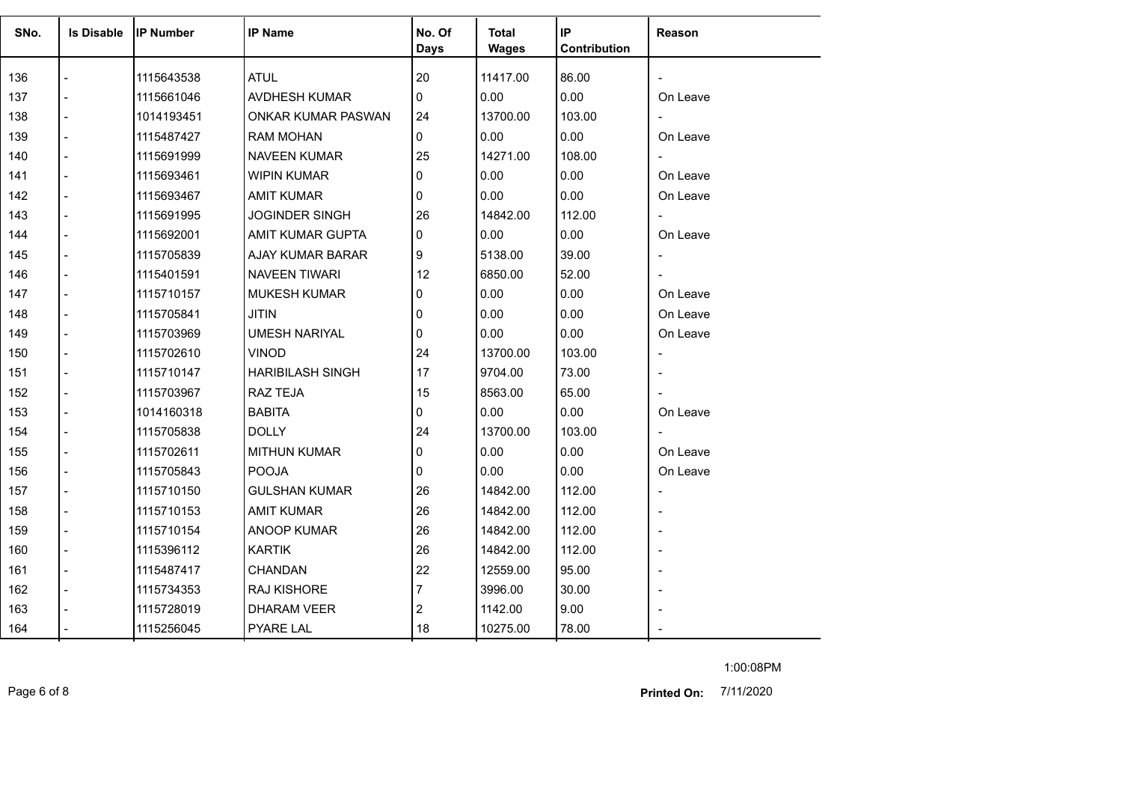| SNo. | <b>Is Disable</b> | <b>IP Number</b> | <b>IP Name</b>          | No. Of<br><b>Days</b> | <b>Total</b><br><b>Wages</b> | IP<br>Contribution | Reason                   |
|------|-------------------|------------------|-------------------------|-----------------------|------------------------------|--------------------|--------------------------|
| 136  |                   | 1115643538       | <b>ATUL</b>             | 20                    | 11417.00                     | 86.00              |                          |
| 137  |                   | 1115661046       | AVDHESH KUMAR           | 0                     | 0.00                         | 0.00               | On Leave                 |
| 138  |                   | 1014193451       | ONKAR KUMAR PASWAN      | 24                    | 13700.00                     | 103.00             | $\blacksquare$           |
| 139  |                   | 1115487427       | <b>RAM MOHAN</b>        | $\Omega$              | 0.00                         | 0.00               | On Leave                 |
| 140  |                   | 1115691999       | NAVEEN KUMAR            | 25                    | 14271.00                     | 108.00             | $\overline{\phantom{0}}$ |
| 141  |                   | 1115693461       | <b>WIPIN KUMAR</b>      | $\Omega$              | 0.00                         | 0.00               | On Leave                 |
| 142  |                   | 1115693467       | <b>AMIT KUMAR</b>       | 0                     | 0.00                         | 0.00               | On Leave                 |
| 143  |                   | 1115691995       | <b>JOGINDER SINGH</b>   | 26                    | 14842.00                     | 112.00             | $\overline{\phantom{0}}$ |
| 144  |                   | 1115692001       | AMIT KUMAR GUPTA        | $\Omega$              | 0.00                         | 0.00               | On Leave                 |
| 145  |                   | 1115705839       | AJAY KUMAR BARAR        | 9                     | 5138.00                      | 39.00              | $\overline{\phantom{0}}$ |
| 146  |                   | 1115401591       | <b>NAVEEN TIWARI</b>    | 12                    | 6850.00                      | 52.00              | $\overline{\phantom{0}}$ |
| 147  |                   | 1115710157       | <b>MUKESH KUMAR</b>     | 0                     | 0.00                         | 0.00               | On Leave                 |
| 148  |                   | 1115705841       | <b>JITIN</b>            | $\Omega$              | 0.00                         | 0.00               | On Leave                 |
| 149  |                   | 1115703969       | <b>UMESH NARIYAL</b>    | $\Omega$              | 0.00                         | 0.00               | On Leave                 |
| 150  |                   | 1115702610       | <b>VINOD</b>            | 24                    | 13700.00                     | 103.00             | $\overline{a}$           |
| 151  |                   | 1115710147       | <b>HARIBILASH SINGH</b> | 17                    | 9704.00                      | 73.00              |                          |
| 152  |                   | 1115703967       | RAZ TEJA                | 15                    | 8563.00                      | 65.00              |                          |
| 153  |                   | 1014160318       | <b>BABITA</b>           | 0                     | 0.00                         | 0.00               | On Leave                 |
| 154  |                   | 1115705838       | <b>DOLLY</b>            | 24                    | 13700.00                     | 103.00             | $\blacksquare$           |
| 155  |                   | 1115702611       | <b>MITHUN KUMAR</b>     | $\Omega$              | 0.00                         | 0.00               | On Leave                 |
| 156  |                   | 1115705843       | <b>POOJA</b>            | $\Omega$              | 0.00                         | 0.00               | On Leave                 |
| 157  |                   | 1115710150       | <b>GULSHAN KUMAR</b>    | 26                    | 14842.00                     | 112.00             |                          |
| 158  |                   | 1115710153       | <b>AMIT KUMAR</b>       | 26                    | 14842.00                     | 112.00             |                          |
| 159  |                   | 1115710154       | <b>ANOOP KUMAR</b>      | 26                    | 14842.00                     | 112.00             |                          |
| 160  |                   | 1115396112       | <b>KARTIK</b>           | 26                    | 14842.00                     | 112.00             |                          |
| 161  |                   | 1115487417       | <b>CHANDAN</b>          | 22                    | 12559.00                     | 95.00              |                          |
| 162  |                   | 1115734353       | RAJ KISHORE             | 7                     | 3996.00                      | 30.00              |                          |
| 163  |                   | 1115728019       | <b>DHARAM VEER</b>      | 2                     | 1142.00                      | 9.00               |                          |
| 164  |                   | 1115256045       | <b>PYARE LAL</b>        | 18                    | 10275.00                     | 78.00              |                          |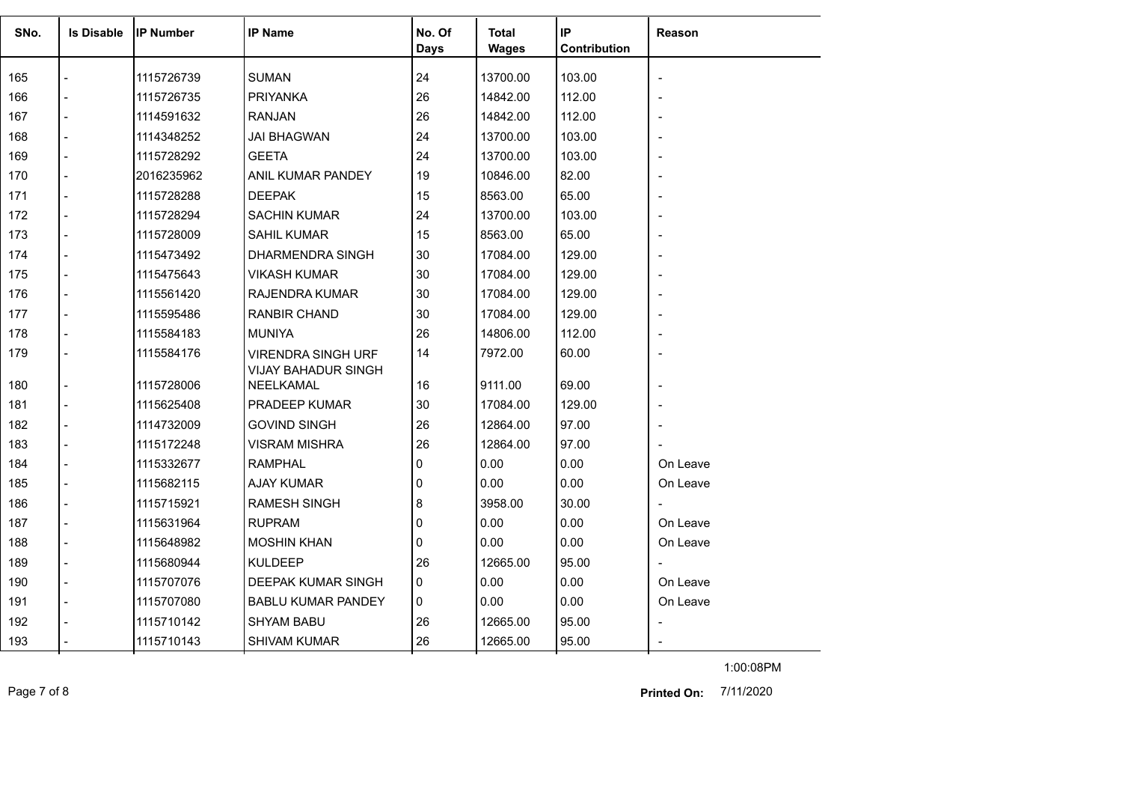| SNo. | <b>Is Disable</b>        | <b>IP Number</b> | <b>IP Name</b>                          | No. Of | <b>Total</b> | IP           | Reason                   |
|------|--------------------------|------------------|-----------------------------------------|--------|--------------|--------------|--------------------------|
|      |                          |                  |                                         | Days   | <b>Wages</b> | Contribution |                          |
| 165  |                          | 1115726739       | <b>SUMAN</b>                            | 24     | 13700.00     | 103.00       |                          |
| 166  |                          | 1115726735       | <b>PRIYANKA</b>                         | 26     | 14842.00     | 112.00       |                          |
| 167  | $\overline{a}$           | 1114591632       | <b>RANJAN</b>                           | 26     | 14842.00     | 112.00       | $\overline{\phantom{a}}$ |
| 168  |                          | 1114348252       | <b>JAI BHAGWAN</b>                      | 24     | 13700.00     | 103.00       |                          |
| 169  | $\blacksquare$           | 1115728292       | <b>GEETA</b>                            | 24     | 13700.00     | 103.00       |                          |
| 170  |                          | 2016235962       | ANIL KUMAR PANDEY                       | 19     | 10846.00     | 82.00        |                          |
| 171  | $\blacksquare$           | 1115728288       | <b>DEEPAK</b>                           | 15     | 8563.00      | 65.00        |                          |
| 172  |                          | 1115728294       | <b>SACHIN KUMAR</b>                     | 24     | 13700.00     | 103.00       |                          |
| 173  | $\overline{\phantom{a}}$ | 1115728009       | SAHIL KUMAR                             | 15     | 8563.00      | 65.00        |                          |
| 174  | $\blacksquare$           | 1115473492       | DHARMENDRA SINGH                        | 30     | 17084.00     | 129.00       |                          |
| 175  | $\overline{a}$           | 1115475643       | <b>VIKASH KUMAR</b>                     | 30     | 17084.00     | 129.00       | $\blacksquare$           |
| 176  | $\blacksquare$           | 1115561420       | RAJENDRA KUMAR                          | 30     | 17084.00     | 129.00       |                          |
| 177  | $\blacksquare$           | 1115595486       | <b>RANBIR CHAND</b>                     | 30     | 17084.00     | 129.00       | $\overline{a}$           |
| 178  |                          | 1115584183       | <b>MUNIYA</b>                           | 26     | 14806.00     | 112.00       |                          |
| 179  |                          | 1115584176       | <b>VIRENDRA SINGH URF</b>               | 14     | 7972.00      | 60.00        | $\overline{\phantom{0}}$ |
| 180  | $\overline{a}$           | 1115728006       | <b>VIJAY BAHADUR SINGH</b><br>NEELKAMAL | 16     | 9111.00      | 69.00        |                          |
| 181  |                          | 1115625408       | PRADEEP KUMAR                           | 30     | 17084.00     | 129.00       |                          |
| 182  | $\blacksquare$           | 1114732009       | <b>GOVIND SINGH</b>                     | 26     | 12864.00     | 97.00        |                          |
| 183  |                          | 1115172248       | <b>VISRAM MISHRA</b>                    | 26     | 12864.00     | 97.00        |                          |
| 184  |                          | 1115332677       | <b>RAMPHAL</b>                          | 0      | 0.00         | 0.00         | On Leave                 |
| 185  |                          | 1115682115       | <b>AJAY KUMAR</b>                       | 0      | 0.00         | 0.00         | On Leave                 |
| 186  | $\overline{a}$           | 1115715921       | RAMESH SINGH                            | 8      | 3958.00      | 30.00        | $\overline{\phantom{a}}$ |
| 187  | $\blacksquare$           | 1115631964       | <b>RUPRAM</b>                           | 0      | 0.00         | 0.00         | On Leave                 |
| 188  |                          | 1115648982       | <b>MOSHIN KHAN</b>                      | 0      | 0.00         | 0.00         | On Leave                 |
| 189  | $\blacksquare$           | 1115680944       | <b>KULDEEP</b>                          | 26     | 12665.00     | 95.00        |                          |
| 190  | $\overline{a}$           | 1115707076       | DEEPAK KUMAR SINGH                      | 0      | 0.00         | 0.00         | On Leave                 |
| 191  | $\overline{a}$           | 1115707080       | <b>BABLU KUMAR PANDEY</b>               | 0      | 0.00         | 0.00         | On Leave                 |
| 192  |                          | 1115710142       | <b>SHYAM BABU</b>                       | 26     | 12665.00     | 95.00        |                          |
| 193  |                          | 1115710143       | <b>SHIVAM KUMAR</b>                     | 26     | 12665.00     | 95.00        |                          |